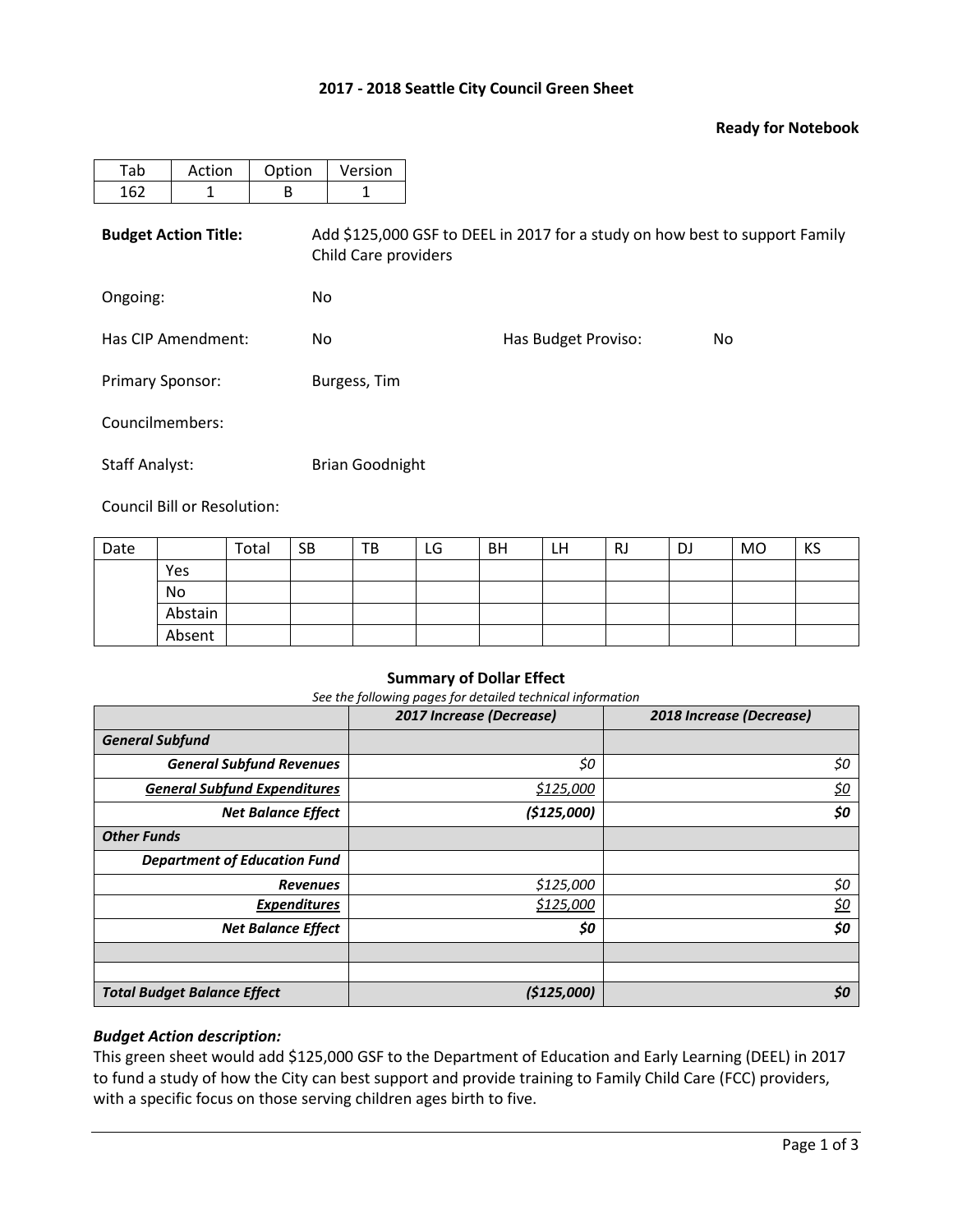### **2017 - 2018 Seattle City Council Green Sheet**

### **Ready for Notebook**

| Tab                         | Action | Option | Version                                                                                             |                     |     |  |  |  |  |  |
|-----------------------------|--------|--------|-----------------------------------------------------------------------------------------------------|---------------------|-----|--|--|--|--|--|
| 162                         | 1      | B      | 1                                                                                                   |                     |     |  |  |  |  |  |
| <b>Budget Action Title:</b> |        |        | Add \$125,000 GSF to DEEL in 2017 for a study on how best to support Family<br>Child Care providers |                     |     |  |  |  |  |  |
| Ongoing:                    |        |        | No.                                                                                                 |                     |     |  |  |  |  |  |
| Has CIP Amendment:          |        | No.    |                                                                                                     | Has Budget Proviso: | No. |  |  |  |  |  |
| <b>Primary Sponsor:</b>     |        |        | Burgess, Tim                                                                                        |                     |     |  |  |  |  |  |
| Councilmembers:             |        |        |                                                                                                     |                     |     |  |  |  |  |  |
| <b>Staff Analyst:</b>       |        |        | <b>Brian Goodnight</b>                                                                              |                     |     |  |  |  |  |  |

Council Bill or Resolution:

| Date |         | Total | <b>SB</b> | TB | LG | <b>BH</b> | LH | RJ | DJ | <b>MO</b> | KS |
|------|---------|-------|-----------|----|----|-----------|----|----|----|-----------|----|
|      | Yes     |       |           |    |    |           |    |    |    |           |    |
|      | No      |       |           |    |    |           |    |    |    |           |    |
|      | Abstain |       |           |    |    |           |    |    |    |           |    |
|      | Absent  |       |           |    |    |           |    |    |    |           |    |

#### **Summary of Dollar Effect**

*See the following pages for detailed technical information*

|                                     | 2017 Increase (Decrease) | 2018 Increase (Decrease) |
|-------------------------------------|--------------------------|--------------------------|
| <b>General Subfund</b>              |                          |                          |
| <b>General Subfund Revenues</b>     | \$0                      | \$0                      |
| <b>General Subfund Expenditures</b> | \$125,000                | <u>\$0</u>               |
| <b>Net Balance Effect</b>           | (\$125,000)              | \$0                      |
| <b>Other Funds</b>                  |                          |                          |
| <b>Department of Education Fund</b> |                          |                          |
| <b>Revenues</b>                     | \$125,000                | \$0                      |
| <b>Expenditures</b>                 | \$125,000                | <u>\$0</u>               |
| <b>Net Balance Effect</b>           | \$0                      | \$0                      |
|                                     |                          |                          |
|                                     |                          |                          |
| <b>Total Budget Balance Effect</b>  | (\$125,000)              | \$0                      |

## *Budget Action description:*

This green sheet would add \$125,000 GSF to the Department of Education and Early Learning (DEEL) in 2017 to fund a study of how the City can best support and provide training to Family Child Care (FCC) providers, with a specific focus on those serving children ages birth to five.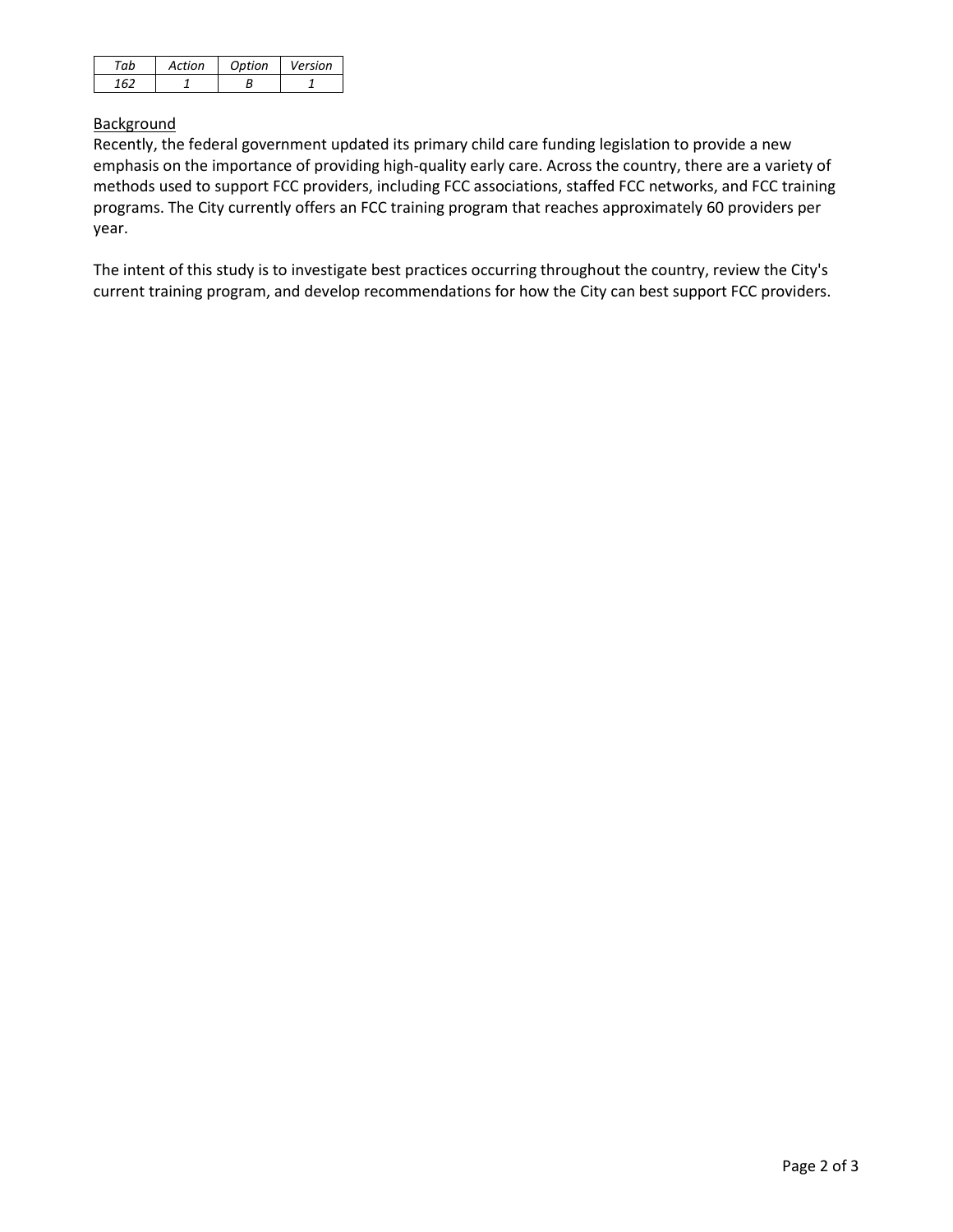| Artion | Ontion | Version |
|--------|--------|---------|
|        |        |         |

# **Background**

Recently, the federal government updated its primary child care funding legislation to provide a new emphasis on the importance of providing high-quality early care. Across the country, there are a variety of methods used to support FCC providers, including FCC associations, staffed FCC networks, and FCC training programs. The City currently offers an FCC training program that reaches approximately 60 providers per year.

The intent of this study is to investigate best practices occurring throughout the country, review the City's current training program, and develop recommendations for how the City can best support FCC providers.